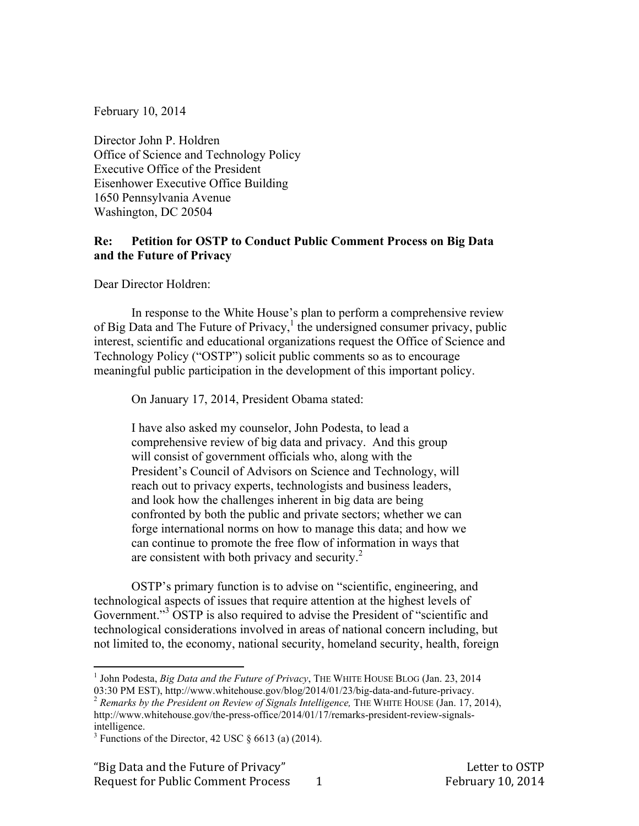February 10, 2014

Director John P. Holdren Office of Science and Technology Policy Executive Office of the President Eisenhower Executive Office Building 1650 Pennsylvania Avenue Washington, DC 20504

## **Re: Petition for OSTP to Conduct Public Comment Process on Big Data and the Future of Privacy**

Dear Director Holdren:

In response to the White House's plan to perform a comprehensive review of Big Data and The Future of Privacy, $\frac{1}{1}$  the undersigned consumer privacy, public interest, scientific and educational organizations request the Office of Science and Technology Policy ("OSTP") solicit public comments so as to encourage meaningful public participation in the development of this important policy.

On January 17, 2014, President Obama stated:

I have also asked my counselor, John Podesta, to lead a comprehensive review of big data and privacy. And this group will consist of government officials who, along with the President's Council of Advisors on Science and Technology, will reach out to privacy experts, technologists and business leaders, and look how the challenges inherent in big data are being confronted by both the public and private sectors; whether we can forge international norms on how to manage this data; and how we can continue to promote the free flow of information in ways that are consistent with both privacy and security. $^{2}$ 

OSTP's primary function is to advise on "scientific, engineering, and technological aspects of issues that require attention at the highest levels of Government."<sup>3</sup> OSTP is also required to advise the President of "scientific and technological considerations involved in areas of national concern including, but not limited to, the economy, national security, homeland security, health, foreign

 <sup>1</sup> John Podesta, *Big Data and the Future of Privacy*, THE WHITE HOUSE BLOG (Jan. 23, 2014

<sup>03:30</sup> PM EST), http://www.whitehouse.gov/blog/2014/01/23/big-data-and-future-privacy.<br><sup>2</sup> *Remarks by the President on Review of Signals Intelligence*, THE WHITE HOUSE (Jan. 17, 2014), http://www.whitehouse.gov/the-press-office/2014/01/17/remarks-president-review-signalsintelligence.

 $3$  Functions of the Director, 42 USC  $\S$  6613 (a) (2014).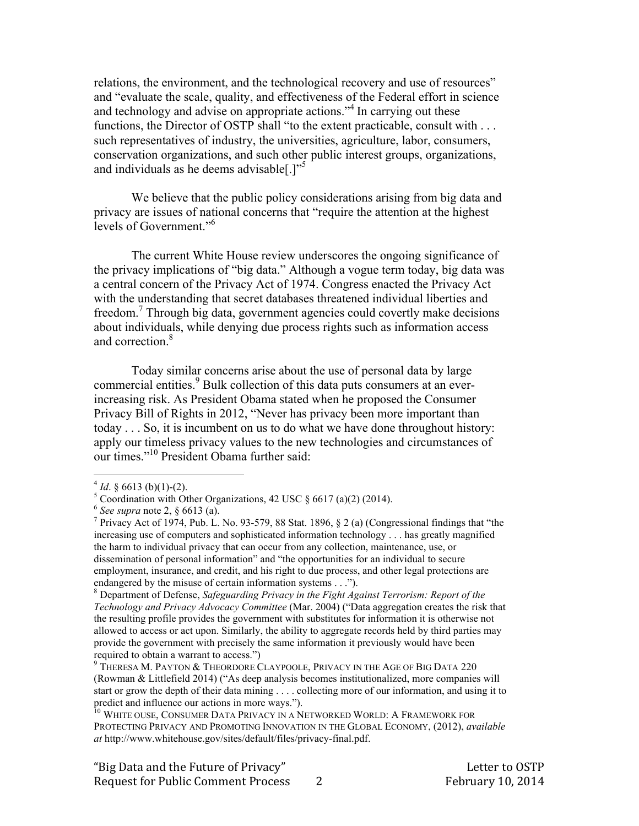relations, the environment, and the technological recovery and use of resources" and "evaluate the scale, quality, and effectiveness of the Federal effort in science and technology and advise on appropriate actions."<sup>4</sup> In carrying out these functions, the Director of OSTP shall "to the extent practicable, consult with . . . such representatives of industry, the universities, agriculture, labor, consumers, conservation organizations, and such other public interest groups, organizations, and individuals as he deems advisable  $[.]^{5}$ 

We believe that the public policy considerations arising from big data and privacy are issues of national concerns that "require the attention at the highest levels of Government."<sup>6</sup>

The current White House review underscores the ongoing significance of the privacy implications of "big data." Although a vogue term today, big data was a central concern of the Privacy Act of 1974. Congress enacted the Privacy Act with the understanding that secret databases threatened individual liberties and freedom.<sup>7</sup> Through big data, government agencies could covertly make decisions about individuals, while denying due process rights such as information access and correction<sup>8</sup>

Today similar concerns arise about the use of personal data by large commercial entities.<sup>9</sup> Bulk collection of this data puts consumers at an everincreasing risk. As President Obama stated when he proposed the Consumer Privacy Bill of Rights in 2012, "Never has privacy been more important than today . . . So, it is incumbent on us to do what we have done throughout history: apply our timeless privacy values to the new technologies and circumstances of our times." 10 President Obama further said:

 $^{4}$  *Id.* § 6613 (b)(1)-(2).<br><sup>5</sup> Coordination with Other Organizations, 42 USC § 6617 (a)(2) (2014).

<sup>6</sup> *See supra* note 2, § 6613 (a). <sup>7</sup>

<sup>&</sup>lt;sup>7</sup> Privacy Act of 1974, Pub. L. No. 93-579, 88 Stat. 1896,  $\S 2$  (a) (Congressional findings that "the increasing use of computers and sophisticated information technology . . . has greatly magnified the harm to individual privacy that can occur from any collection, maintenance, use, or dissemination of personal information" and "the opportunities for an individual to secure employment, insurance, and credit, and his right to due process, and other legal protections are endangered by the misuse of certain information systems  $\dots$ ").

Department of Defense, *Safeguarding Privacy in the Fight Against Terrorism: Report of the Technology and Privacy Advocacy Committee* (Mar. 2004) ("Data aggregation creates the risk that the resulting profile provides the government with substitutes for information it is otherwise not allowed to access or act upon. Similarly, the ability to aggregate records held by third parties may provide the government with precisely the same information it previously would have been required to obtain a warrant to access.")<br><sup>9</sup> THERESA M. PAYTON & THEORDORE CLAYPOOLE, PRIVACY IN THE AGE OF BIG DATA 220

<sup>(</sup>Rowman & Littlefield 2014) ("As deep analysis becomes institutionalized, more companies will start or grow the depth of their data mining . . . . collecting more of our information, and using it to predict and influence our actions in more ways.").

<sup>&</sup>lt;sup>10</sup> WHITE OUSE, CONSUMER DATA PRIVACY IN A NETWORKED WORLD: A FRAMEWORK FOR PROTECTING PRIVACY AND PROMOTING INNOVATION IN THE GLOBAL ECONOMY, (2012), *available at* http://www.whitehouse.gov/sites/default/files/privacy-final.pdf.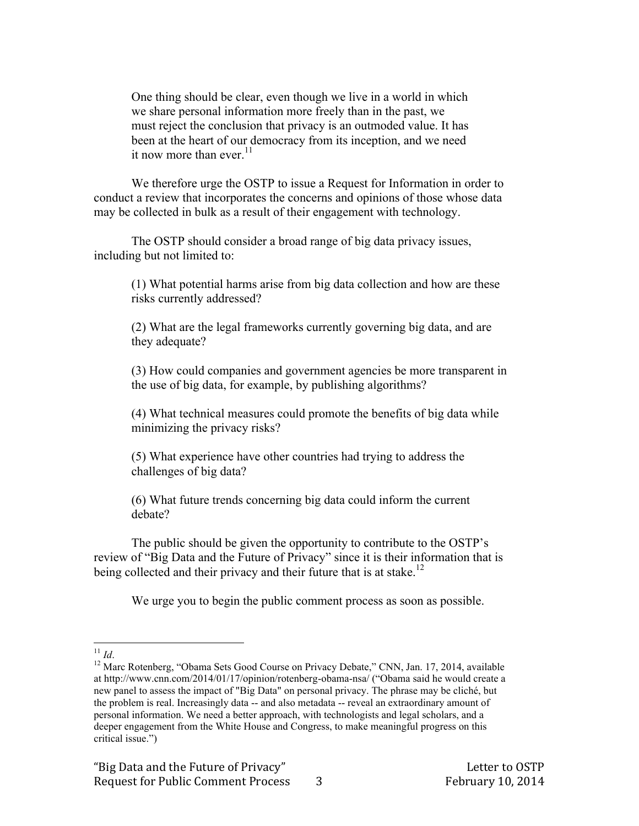One thing should be clear, even though we live in a world in which we share personal information more freely than in the past, we must reject the conclusion that privacy is an outmoded value. It has been at the heart of our democracy from its inception, and we need it now more than ever  $11$ 

We therefore urge the OSTP to issue a Request for Information in order to conduct a review that incorporates the concerns and opinions of those whose data may be collected in bulk as a result of their engagement with technology.

The OSTP should consider a broad range of big data privacy issues, including but not limited to:

(1) What potential harms arise from big data collection and how are these risks currently addressed?

(2) What are the legal frameworks currently governing big data, and are they adequate?

(3) How could companies and government agencies be more transparent in the use of big data, for example, by publishing algorithms?

(4) What technical measures could promote the benefits of big data while minimizing the privacy risks?

(5) What experience have other countries had trying to address the challenges of big data?

(6) What future trends concerning big data could inform the current debate?

The public should be given the opportunity to contribute to the OSTP's review of "Big Data and the Future of Privacy" since it is their information that is being collected and their privacy and their future that is at stake.<sup>12</sup>

We urge you to begin the public comment process as soon as possible.

<sup>&</sup>lt;sup>11</sup> *Id.* 12 Marc Rotenberg, "Obama Sets Good Course on Privacy Debate," CNN, Jan. 17, 2014, available at http://www.cnn.com/2014/01/17/opinion/rotenberg-obama-nsa/ ("Obama said he would create a new panel to assess the impact of "Big Data" on personal privacy. The phrase may be cliché, but the problem is real. Increasingly data -- and also metadata -- reveal an extraordinary amount of personal information. We need a better approach, with technologists and legal scholars, and a deeper engagement from the White House and Congress, to make meaningful progress on this critical issue.")